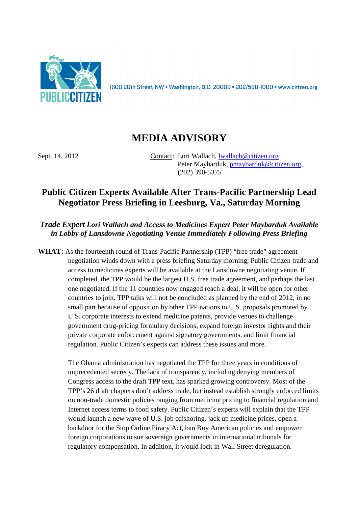

1600 20th Street, NW • Washington, D.C. 20009 • 202/588-1000 • www.citizen.org

## **MEDIA ADVISORY**

Sept. 14, 2012 Contact: Lori Wallach, lwallach@citizen.org Peter Maybarduk, pmaybarduk@citizen.org, (202) 390-5375

## **Public Citizen Experts Available After Trans-Pacific Partnership Lead Negotiator Press Briefing in Leesburg, Va., Saturday Morning**

*Trade Expert Lori Wallach and Access to Medicines Expert Peter Maybarduk Available in Lobby of Lansdowne Negotiating Venue Immediately Following Press Briefing* 

**WHAT:** As the fourteenth round of Trans-Pacific Partnership (TPP) "free trade" agreement negotiation winds down with a press briefing Saturday morning, Public Citizen trade and access to medicines experts will be available at the Lansdowne negotiating venue. If completed, the TPP would be the largest U.S. free trade agreement, and perhaps the last one negotiated. If the 11 countries now engaged reach a deal, it will be open for other countries to join. TPP talks will not be concluded as planned by the end of 2012, in no small part because of opposition by other TPP nations to U.S. proposals promoted by U.S. corporate interests to extend medicine patents, provide venues to challenge government drug-pricing formulary decisions, expand foreign investor rights and their private corporate enforcement against signatory governments, and limit financial regulation. Public Citizen's experts can address these issues and more.

> The Obama administration has negotiated the TPP for three years in conditions of unprecedented secrecy. The lack of transparency, including denying members of Congress access to the draft TPP text, has sparked growing controversy. Most of the TPP's 26 draft chapters don't address trade, but instead establish strongly enforced limits on non-trade domestic policies ranging from medicine pricing to financial regulation and Internet access terms to food safety. Public Citizen's experts will explain that the TPP would launch a new wave of U.S. job offshoring, jack up medicine prices, open a backdoor for the Stop Online Piracy Act, ban Buy American policies and empower foreign corporations to sue sovereign governments in international tribunals for regulatory compensation. In addition, it would lock in Wall Street deregulation.